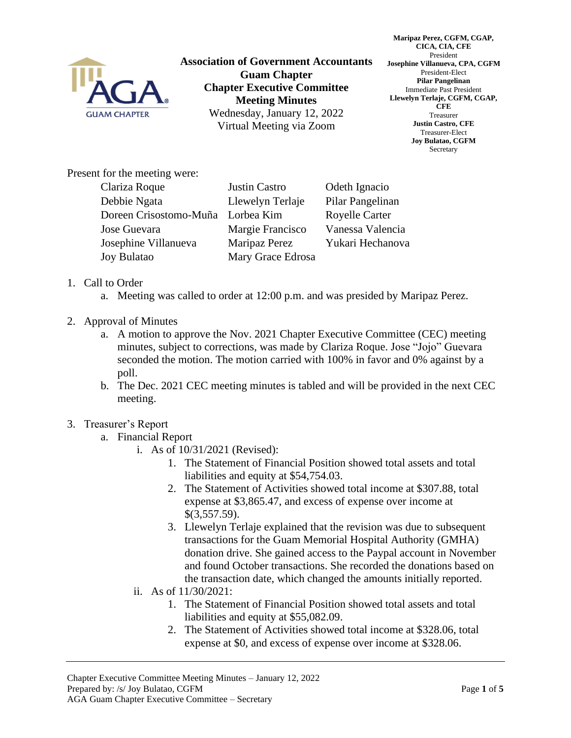

**Association of Government Accountants Guam Chapter Chapter Executive Committee Meeting Minutes** Wednesday, January 12, 2022 Virtual Meeting via Zoom

**Maripaz Perez, CGFM, CGAP, CICA, CIA, CFE** President **Josephine Villanueva, CPA, CGFM** President-Elect **Pilar Pangelinan** Immediate Past President **Llewelyn Terlaje, CGFM, CGAP, CFE** Treasurer **Justin Castro, CFE** Treasurer-Elect **Joy Bulatao, CGFM** Secretary

Present for the meeting were:

| Clariza Roque                     | Justin Castro     | Odeth Ignacio         |
|-----------------------------------|-------------------|-----------------------|
| Debbie Ngata                      | Llewelyn Terlaje  | Pilar Pangelinan      |
| Doreen Crisostomo-Muña Lorbea Kim |                   | <b>Royelle Carter</b> |
| Jose Guevara                      | Margie Francisco  | Vanessa Valencia      |
| Josephine Villanueva              | Maripaz Perez     | Yukari Hechanova      |
| <b>Joy Bulatao</b>                | Mary Grace Edrosa |                       |

## 1. Call to Order

- a. Meeting was called to order at 12:00 p.m. and was presided by Maripaz Perez.
- 2. Approval of Minutes
	- a. A motion to approve the Nov. 2021 Chapter Executive Committee (CEC) meeting minutes, subject to corrections, was made by Clariza Roque. Jose "Jojo" Guevara seconded the motion. The motion carried with 100% in favor and 0% against by a poll.
	- b. The Dec. 2021 CEC meeting minutes is tabled and will be provided in the next CEC meeting.

## 3. Treasurer's Report

- a. Financial Report
	- i. As of 10/31/2021 (Revised):
		- 1. The Statement of Financial Position showed total assets and total liabilities and equity at \$54,754.03.
		- 2. The Statement of Activities showed total income at \$307.88, total expense at \$3,865.47, and excess of expense over income at \$(3,557.59).
		- 3. Llewelyn Terlaje explained that the revision was due to subsequent transactions for the Guam Memorial Hospital Authority (GMHA) donation drive. She gained access to the Paypal account in November and found October transactions. She recorded the donations based on the transaction date, which changed the amounts initially reported.
	- ii. As of 11/30/2021:
		- 1. The Statement of Financial Position showed total assets and total liabilities and equity at \$55,082.09.
		- 2. The Statement of Activities showed total income at \$328.06, total expense at \$0, and excess of expense over income at \$328.06.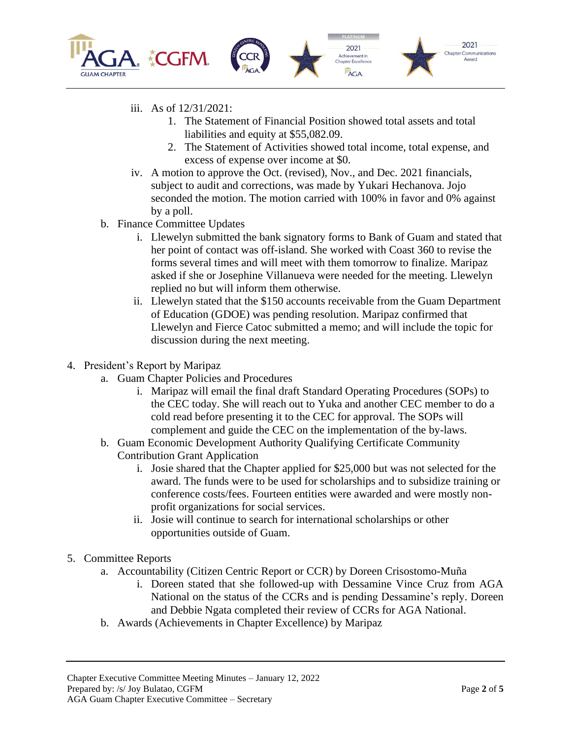

- iii. As of 12/31/2021:
	- 1. The Statement of Financial Position showed total assets and total liabilities and equity at \$55,082.09.
	- 2. The Statement of Activities showed total income, total expense, and excess of expense over income at \$0.
- iv. A motion to approve the Oct. (revised), Nov., and Dec. 2021 financials, subject to audit and corrections, was made by Yukari Hechanova. Jojo seconded the motion. The motion carried with 100% in favor and 0% against by a poll.
- b. Finance Committee Updates
	- i. Llewelyn submitted the bank signatory forms to Bank of Guam and stated that her point of contact was off-island. She worked with Coast 360 to revise the forms several times and will meet with them tomorrow to finalize. Maripaz asked if she or Josephine Villanueva were needed for the meeting. Llewelyn replied no but will inform them otherwise.
	- ii. Llewelyn stated that the \$150 accounts receivable from the Guam Department of Education (GDOE) was pending resolution. Maripaz confirmed that Llewelyn and Fierce Catoc submitted a memo; and will include the topic for discussion during the next meeting.
- 4. President's Report by Maripaz
	- a. Guam Chapter Policies and Procedures
		- i. Maripaz will email the final draft Standard Operating Procedures (SOPs) to the CEC today. She will reach out to Yuka and another CEC member to do a cold read before presenting it to the CEC for approval. The SOPs will complement and guide the CEC on the implementation of the by-laws.
	- b. Guam Economic Development Authority Qualifying Certificate Community Contribution Grant Application
		- i. Josie shared that the Chapter applied for \$25,000 but was not selected for the award. The funds were to be used for scholarships and to subsidize training or conference costs/fees. Fourteen entities were awarded and were mostly nonprofit organizations for social services.
		- ii. Josie will continue to search for international scholarships or other opportunities outside of Guam.
- 5. Committee Reports
	- a. Accountability (Citizen Centric Report or CCR) by Doreen Crisostomo-Muña
		- i. Doreen stated that she followed-up with Dessamine Vince Cruz from AGA National on the status of the CCRs and is pending Dessamine's reply. Doreen and Debbie Ngata completed their review of CCRs for AGA National.
	- b. Awards (Achievements in Chapter Excellence) by Maripaz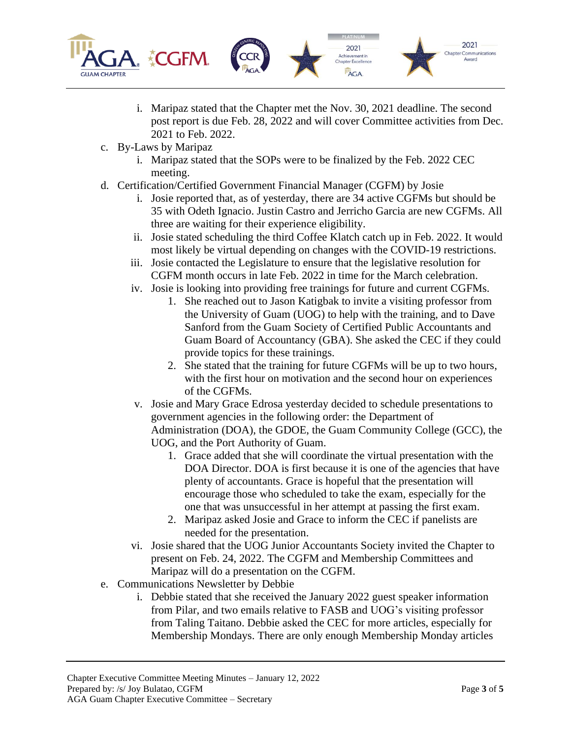

- i. Maripaz stated that the Chapter met the Nov. 30, 2021 deadline. The second post report is due Feb. 28, 2022 and will cover Committee activities from Dec. 2021 to Feb. 2022.
- c. By-Laws by Maripaz
	- i. Maripaz stated that the SOPs were to be finalized by the Feb. 2022 CEC meeting.
- d. Certification/Certified Government Financial Manager (CGFM) by Josie
	- i. Josie reported that, as of yesterday, there are 34 active CGFMs but should be 35 with Odeth Ignacio. Justin Castro and Jerricho Garcia are new CGFMs. All three are waiting for their experience eligibility.
	- ii. Josie stated scheduling the third Coffee Klatch catch up in Feb. 2022. It would most likely be virtual depending on changes with the COVID-19 restrictions.
	- iii. Josie contacted the Legislature to ensure that the legislative resolution for CGFM month occurs in late Feb. 2022 in time for the March celebration.
	- iv. Josie is looking into providing free trainings for future and current CGFMs.
		- 1. She reached out to Jason Katigbak to invite a visiting professor from the University of Guam (UOG) to help with the training, and to Dave Sanford from the Guam Society of Certified Public Accountants and Guam Board of Accountancy (GBA). She asked the CEC if they could provide topics for these trainings.
		- 2. She stated that the training for future CGFMs will be up to two hours, with the first hour on motivation and the second hour on experiences of the CGFMs.
	- v. Josie and Mary Grace Edrosa yesterday decided to schedule presentations to government agencies in the following order: the Department of Administration (DOA), the GDOE, the Guam Community College (GCC), the UOG, and the Port Authority of Guam.
		- 1. Grace added that she will coordinate the virtual presentation with the DOA Director. DOA is first because it is one of the agencies that have plenty of accountants. Grace is hopeful that the presentation will encourage those who scheduled to take the exam, especially for the one that was unsuccessful in her attempt at passing the first exam.
		- 2. Maripaz asked Josie and Grace to inform the CEC if panelists are needed for the presentation.
	- vi. Josie shared that the UOG Junior Accountants Society invited the Chapter to present on Feb. 24, 2022. The CGFM and Membership Committees and Maripaz will do a presentation on the CGFM.
- e. Communications Newsletter by Debbie
	- i. Debbie stated that she received the January 2022 guest speaker information from Pilar, and two emails relative to FASB and UOG's visiting professor from Taling Taitano. Debbie asked the CEC for more articles, especially for Membership Mondays. There are only enough Membership Monday articles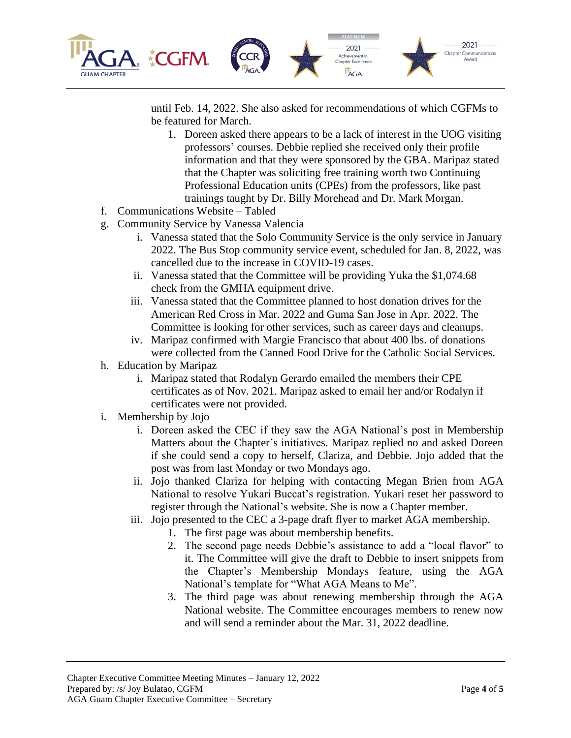

until Feb. 14, 2022. She also asked for recommendations of which CGFMs to be featured for March.

- 1. Doreen asked there appears to be a lack of interest in the UOG visiting professors' courses. Debbie replied she received only their profile information and that they were sponsored by the GBA. Maripaz stated that the Chapter was soliciting free training worth two Continuing Professional Education units (CPEs) from the professors, like past trainings taught by Dr. Billy Morehead and Dr. Mark Morgan.
- f. Communications Website Tabled
- g. Community Service by Vanessa Valencia
	- i. Vanessa stated that the Solo Community Service is the only service in January 2022. The Bus Stop community service event, scheduled for Jan. 8, 2022, was cancelled due to the increase in COVID-19 cases.
	- ii. Vanessa stated that the Committee will be providing Yuka the \$1,074.68 check from the GMHA equipment drive.
	- iii. Vanessa stated that the Committee planned to host donation drives for the American Red Cross in Mar. 2022 and Guma San Jose in Apr. 2022. The Committee is looking for other services, such as career days and cleanups.
	- iv. Maripaz confirmed with Margie Francisco that about 400 lbs. of donations were collected from the Canned Food Drive for the Catholic Social Services.
- h. Education by Maripaz
	- i. Maripaz stated that Rodalyn Gerardo emailed the members their CPE certificates as of Nov. 2021. Maripaz asked to email her and/or Rodalyn if certificates were not provided.
- i. Membership by Jojo
	- i. Doreen asked the CEC if they saw the AGA National's post in Membership Matters about the Chapter's initiatives. Maripaz replied no and asked Doreen if she could send a copy to herself, Clariza, and Debbie. Jojo added that the post was from last Monday or two Mondays ago.
	- ii. Jojo thanked Clariza for helping with contacting Megan Brien from AGA National to resolve Yukari Buccat's registration. Yukari reset her password to register through the National's website. She is now a Chapter member.
	- iii. Jojo presented to the CEC a 3-page draft flyer to market AGA membership.
		- 1. The first page was about membership benefits.
			- 2. The second page needs Debbie's assistance to add a "local flavor" to it. The Committee will give the draft to Debbie to insert snippets from the Chapter's Membership Mondays feature, using the AGA National's template for "What AGA Means to Me".
			- 3. The third page was about renewing membership through the AGA National website. The Committee encourages members to renew now and will send a reminder about the Mar. 31, 2022 deadline.